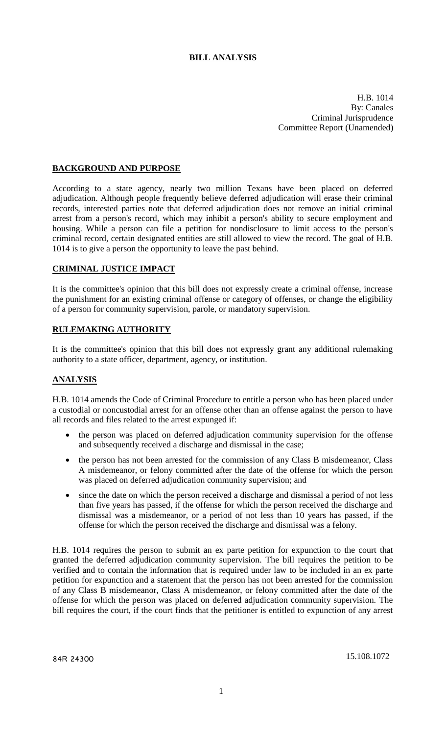# **BILL ANALYSIS**

H.B. 1014 By: Canales Criminal Jurisprudence Committee Report (Unamended)

### **BACKGROUND AND PURPOSE**

According to a state agency, nearly two million Texans have been placed on deferred adjudication. Although people frequently believe deferred adjudication will erase their criminal records, interested parties note that deferred adjudication does not remove an initial criminal arrest from a person's record, which may inhibit a person's ability to secure employment and housing. While a person can file a petition for nondisclosure to limit access to the person's criminal record, certain designated entities are still allowed to view the record. The goal of H.B. 1014 is to give a person the opportunity to leave the past behind.

#### **CRIMINAL JUSTICE IMPACT**

It is the committee's opinion that this bill does not expressly create a criminal offense, increase the punishment for an existing criminal offense or category of offenses, or change the eligibility of a person for community supervision, parole, or mandatory supervision.

### **RULEMAKING AUTHORITY**

It is the committee's opinion that this bill does not expressly grant any additional rulemaking authority to a state officer, department, agency, or institution.

#### **ANALYSIS**

H.B. 1014 amends the Code of Criminal Procedure to entitle a person who has been placed under a custodial or noncustodial arrest for an offense other than an offense against the person to have all records and files related to the arrest expunged if:

- the person was placed on deferred adjudication community supervision for the offense and subsequently received a discharge and dismissal in the case;
- the person has not been arrested for the commission of any Class B misdemeanor, Class A misdemeanor, or felony committed after the date of the offense for which the person was placed on deferred adjudication community supervision; and
- since the date on which the person received a discharge and dismissal a period of not less than five years has passed, if the offense for which the person received the discharge and dismissal was a misdemeanor, or a period of not less than 10 years has passed, if the offense for which the person received the discharge and dismissal was a felony.

H.B. 1014 requires the person to submit an ex parte petition for expunction to the court that granted the deferred adjudication community supervision. The bill requires the petition to be verified and to contain the information that is required under law to be included in an ex parte petition for expunction and a statement that the person has not been arrested for the commission of any Class B misdemeanor, Class A misdemeanor, or felony committed after the date of the offense for which the person was placed on deferred adjudication community supervision. The bill requires the court, if the court finds that the petitioner is entitled to expunction of any arrest

84R 24300 15.108.1072